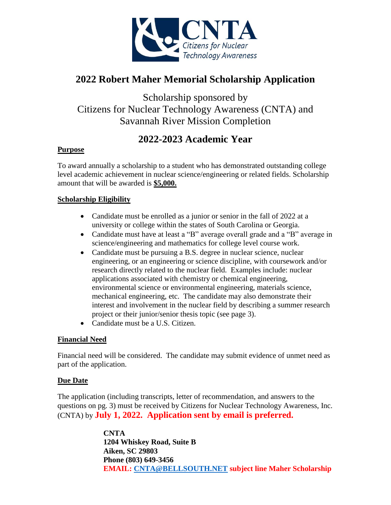

## **2022 Robert Maher Memorial Scholarship Application**

Scholarship sponsored by Citizens for Nuclear Technology Awareness (CNTA) and Savannah River Mission Completion

## **2022-2023 Academic Year**

#### **Purpose**

To award annually a scholarship to a student who has demonstrated outstanding college level academic achievement in nuclear science/engineering or related fields. Scholarship amount that will be awarded is **\$5,000.** 

### **Scholarship Eligibility**

- Candidate must be enrolled as a junior or senior in the fall of 2022 at a university or college within the states of South Carolina or Georgia.
- Candidate must have at least a "B" average overall grade and a "B" average in science/engineering and mathematics for college level course work.
- Candidate must be pursuing a B.S. degree in nuclear science, nuclear engineering, or an engineering or science discipline, with coursework and/or research directly related to the nuclear field. Examples include: nuclear applications associated with chemistry or chemical engineering, environmental science or environmental engineering, materials science, mechanical engineering, etc. The candidate may also demonstrate their interest and involvement in the nuclear field by describing a summer research project or their junior/senior thesis topic (see page 3).
- Candidate must be a U.S. Citizen.

#### **Financial Need**

Financial need will be considered. The candidate may submit evidence of unmet need as part of the application.

#### **Due Date**

The application (including transcripts, letter of recommendation, and answers to the questions on pg. 3) must be received by Citizens for Nuclear Technology Awareness, Inc. (CNTA) by **July 1, 2022. Application sent by email is preferred.**

> **CNTA 1204 Whiskey Road, Suite B Aiken, SC 29803 Phone (803) 649-3456 EMAIL: [CNTA@BELLSOUTH.NET](mailto:CNTA@BELLSOUTH.NET) subject line Maher Scholarship**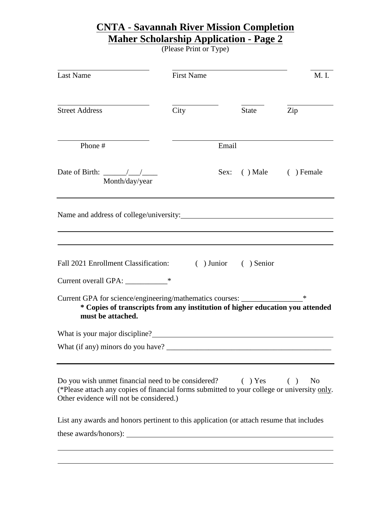# **CNTA** - **Savannah River Mission Completion Maher Scholarship Application - Page 2**

(Please Print or Type)

| <b>Street Address</b><br>City<br>Phone #<br>Date of Birth: $\frac{\sqrt{1-\frac{1}{2}}}{\sqrt{1-\frac{1}{2}}}$<br>Month/day/year                                                             | <b>State</b><br>Email<br>Sex:<br>$( )$ Male | Zip<br>$( )$ Female   |
|----------------------------------------------------------------------------------------------------------------------------------------------------------------------------------------------|---------------------------------------------|-----------------------|
|                                                                                                                                                                                              |                                             |                       |
|                                                                                                                                                                                              |                                             |                       |
|                                                                                                                                                                                              |                                             |                       |
|                                                                                                                                                                                              |                                             |                       |
| Fall 2021 Enrollment Classification: () Junior () Senior<br>Current overall GPA: _____________*                                                                                              |                                             |                       |
| Current GPA for science/engineering/mathematics courses: _______________________<br>* Copies of transcripts from any institution of higher education you attended<br>must be attached.       |                                             | ∗                     |
|                                                                                                                                                                                              |                                             |                       |
|                                                                                                                                                                                              |                                             |                       |
| Do you wish unmet financial need to be considered?<br>(*Please attach any copies of financial forms submitted to your college or university only.<br>Other evidence will not be considered.) | $( )$ Yes                                   | ( )<br>N <sub>0</sub> |
| List any awards and honors pertinent to this application (or attach resume that includes<br>these awards/honors):                                                                            |                                             |                       |